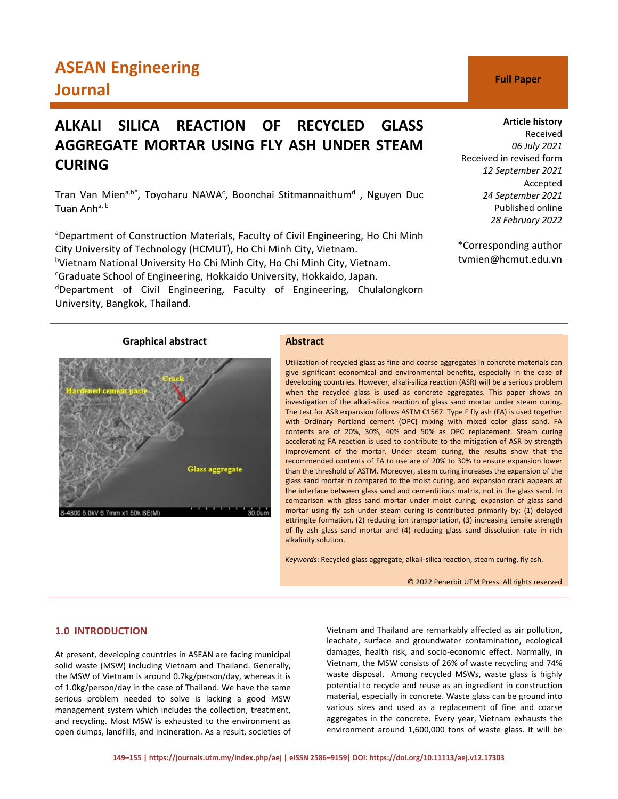# **ASEAN Engineering Journal C Full Paper**

## **ALKALI SILICA REACTION OF RECYCLED GLASS AGGREGATE MORTAR USING FLY ASH UNDER STEAM CURING**

Tran Van Mien<sup>a,b\*</sup>, Toyoharu NAWA<sup>c</sup>, Boonchai Stitmannaithum<sup>d</sup>, Nguyen Duc Tuan Anh<sup>a, b</sup>

<sup>a</sup>Department of Construction Materials, Faculty of Civil Engineering, Ho Chi Minh City University of Technology (HCMUT), Ho Chi Minh City, Vietnam. <sup>b</sup>Vietnam National University Ho Chi Minh City, Ho Chi Minh City, Vietnam. <sup>c</sup>Graduate School of Engineering, Hokkaido University, Hokkaido, Japan.

<sup>d</sup>Department of Civil Engineering, Faculty of Engineering, Chulalongkorn University, Bangkok, Thailand.

#### **Article history**

Received *06 July 2021* Received in revised form *12 September 2021* Accepted *24 September 2021* Published online *28 February 2022*

\*Corresponding author tvmien@hcmut.edu.vn

## **Graphical abstract Abstract**

# Glass aggregate 5.0kV 6.7mm x1.50k SE(M)

Utilization of recycled glass as fine and coarse aggregates in concrete materials can give significant economical and environmental benefits, especially in the case of developing countries. However, alkali-silica reaction (ASR) will be a serious problem when the recycled glass is used as concrete aggregates. This paper shows an investigation of the alkali-silica reaction of glass sand mortar under steam curing. The test for ASR expansion follows ASTM C1567. Type F fly ash (FA) is used together with Ordinary Portland cement (OPC) mixing with mixed color glass sand. FA contents are of 20%, 30%, 40% and 50% as OPC replacement. Steam curing accelerating FA reaction is used to contribute to the mitigation of ASR by strength improvement of the mortar. Under steam curing, the results show that the recommended contents of FA to use are of 20% to 30% to ensure expansion lower than the threshold of ASTM. Moreover, steam curing increases the expansion of the glass sand mortar in compared to the moist curing, and expansion crack appears at the interface between glass sand and cementitious matrix, not in the glass sand. In comparison with glass sand mortar under moist curing, expansion of glass sand mortar using fly ash under steam curing is contributed primarily by: (1) delayed ettringite formation, (2) reducing ion transportation, (3) increasing tensile strength of fly ash glass sand mortar and (4) reducing glass sand dissolution rate in rich alkalinity solution.

*Keywords*: Recycled glass aggregate, alkali-silica reaction, steam curing, fly ash.

© 2022 Penerbit UTM Press. All rights reserved

## **1.0 INTRODUCTION**

At present, developing countries in ASEAN are facing municipal solid waste (MSW) including Vietnam and Thailand. Generally, the MSW of Vietnam is around 0.7kg/person/day, whereas it is of 1.0kg/person/day in the case of Thailand. We have the same serious problem needed to solve is lacking a good MSW management system which includes the collection, treatment, and recycling. Most MSW is exhausted to the environment as open dumps, landfills, and incineration. As a result, societies of Vietnam and Thailand are remarkably affected as air pollution, leachate, surface and groundwater contamination, ecological damages, health risk, and socio-economic effect. Normally, in Vietnam, the MSW consists of 26% of waste recycling and 74% waste disposal. Among recycled MSWs, waste glass is highly potential to recycle and reuse as an ingredient in construction material, especially in concrete. Waste glass can be ground into various sizes and used as a replacement of fine and coarse aggregates in the concrete. Every year, Vietnam exhausts the environment around 1,600,000 tons of waste glass. It will be

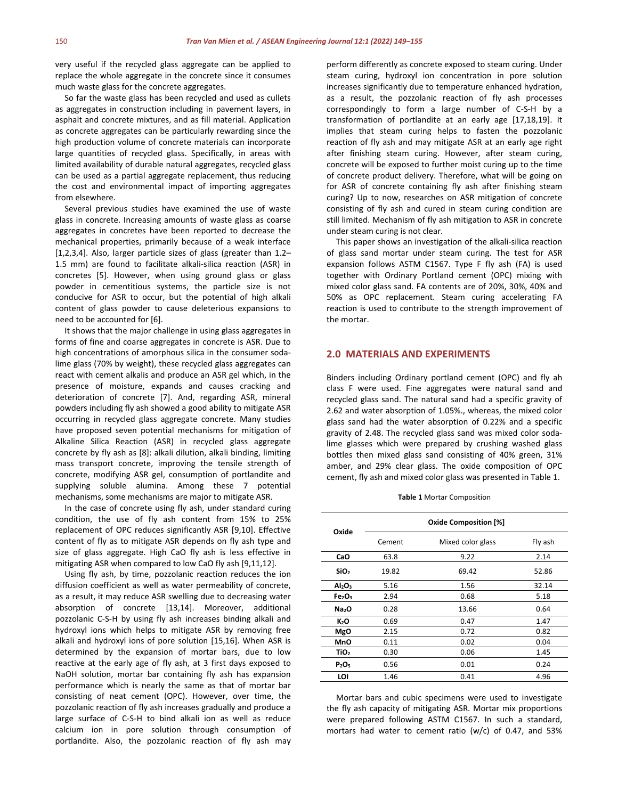very useful if the recycled glass aggregate can be applied to replace the whole aggregate in the concrete since it consumes much waste glass for the concrete aggregates.

So far the waste glass has been recycled and used as cullets as aggregates in construction including in pavement layers, in asphalt and concrete mixtures, and as fill material. Application as concrete aggregates can be particularly rewarding since the high production volume of concrete materials can incorporate large quantities of recycled glass. Specifically, in areas with limited availability of durable natural aggregates, recycled glass can be used as a partial aggregate replacement, thus reducing the cost and environmental impact of importing aggregates from elsewhere.

Several previous studies have examined the use of waste glass in concrete. Increasing amounts of waste glass as coarse aggregates in concretes have been reported to decrease the mechanical properties, primarily because of a weak interface [1,2,3,4]. Also, larger particle sizes of glass (greater than 1.2– 1.5 mm) are found to facilitate alkali-silica reaction (ASR) in concretes [5]. However, when using ground glass or glass powder in cementitious systems, the particle size is not conducive for ASR to occur, but the potential of high alkali content of glass powder to cause deleterious expansions to need to be accounted for [6].

It shows that the major challenge in using glass aggregates in forms of fine and coarse aggregates in concrete is ASR. Due to high concentrations of amorphous silica in the consumer sodalime glass (70% by weight), these recycled glass aggregates can react with cement alkalis and produce an ASR gel which, in the presence of moisture, expands and causes cracking and deterioration of concrete [7]. And, regarding ASR, mineral powders including fly ash showed a good ability to mitigate ASR occurring in recycled glass aggregate concrete. Many studies have proposed seven potential mechanisms for mitigation of Alkaline Silica Reaction (ASR) in recycled glass aggregate concrete by fly ash as [8]: alkali dilution, alkali binding, limiting mass transport concrete, improving the tensile strength of concrete, modifying ASR gel, consumption of portlandite and supplying soluble alumina. Among these 7 potential mechanisms, some mechanisms are major to mitigate ASR.

In the case of concrete using fly ash, under standard curing condition, the use of fly ash content from 15% to 25% replacement of OPC reduces significantly ASR [9,10]. Effective content of fly as to mitigate ASR depends on fly ash type and size of glass aggregate. High CaO fly ash is less effective in mitigating ASR when compared to low CaO fly ash [9,11,12].

Using fly ash, by time, pozzolanic reaction reduces the ion diffusion coefficient as well as water permeability of concrete, as a result, it may reduce ASR swelling due to decreasing water absorption of concrete [13,14]. Moreover, additional pozzolanic C-S-H by using fly ash increases binding alkali and hydroxyl ions which helps to mitigate ASR by removing free alkali and hydroxyl ions of pore solution [15,16]. When ASR is determined by the expansion of mortar bars, due to low reactive at the early age of fly ash, at 3 first days exposed to NaOH solution, mortar bar containing fly ash has expansion performance which is nearly the same as that of mortar bar consisting of neat cement (OPC). However, over time, the pozzolanic reaction of fly ash increases gradually and produce a large surface of C-S-H to bind alkali ion as well as reduce calcium ion in pore solution through consumption of portlandite. Also, the pozzolanic reaction of fly ash may

perform differently as concrete exposed to steam curing. Under steam curing, hydroxyl ion concentration in pore solution increases significantly due to temperature enhanced hydration, as a result, the pozzolanic reaction of fly ash processes correspondingly to form a large number of C-S-H by a transformation of portlandite at an early age [17,18,19]. It implies that steam curing helps to fasten the pozzolanic reaction of fly ash and may mitigate ASR at an early age right after finishing steam curing. However, after steam curing, concrete will be exposed to further moist curing up to the time of concrete product delivery. Therefore, what will be going on for ASR of concrete containing fly ash after finishing steam curing? Up to now, researches on ASR mitigation of concrete consisting of fly ash and cured in steam curing condition are still limited. Mechanism of fly ash mitigation to ASR in concrete under steam curing is not clear.

This paper shows an investigation of the alkali-silica reaction of glass sand mortar under steam curing. The test for ASR expansion follows ASTM C1567. Type F fly ash (FA) is used together with Ordinary Portland cement (OPC) mixing with mixed color glass sand. FA contents are of 20%, 30%, 40% and 50% as OPC replacement. Steam curing accelerating FA reaction is used to contribute to the strength improvement of the mortar.

#### **2.0 MATERIALS AND EXPERIMENTS**

Binders including Ordinary portland cement (OPC) and fly ah class F were used. Fine aggregates were natural sand and recycled glass sand. The natural sand had a specific gravity of 2.62 and water absorption of 1.05%., whereas, the mixed color glass sand had the water absorption of 0.22% and a specific gravity of 2.48. The recycled glass sand was mixed color sodalime glasses which were prepared by crushing washed glass bottles then mixed glass sand consisting of 40% green, 31% amber, and 29% clear glass. The oxide composition of OPC cement, fly ash and mixed color glass was presented in Table 1.

|  |  | <b>Table 1 Mortar Composition</b> |
|--|--|-----------------------------------|
|--|--|-----------------------------------|

| Oxide                          | <b>Oxide Composition [%]</b> |                   |         |  |  |  |
|--------------------------------|------------------------------|-------------------|---------|--|--|--|
|                                | Cement                       | Mixed color glass | Fly ash |  |  |  |
| CaO                            | 63.8                         | 9.22              | 2.14    |  |  |  |
| SiO <sub>2</sub>               | 19.82                        | 69.42             | 52.86   |  |  |  |
| Al <sub>2</sub> O <sub>3</sub> | 5.16                         | 1.56              | 32.14   |  |  |  |
| Fe <sub>2</sub> O <sub>3</sub> | 2.94                         | 0.68              | 5.18    |  |  |  |
| Na <sub>2</sub> O              | 0.28                         | 13.66             | 0.64    |  |  |  |
| K <sub>2</sub> O               | 0.69                         | 0.47              | 1.47    |  |  |  |
| <b>MgO</b>                     | 2.15                         | 0.72              | 0.82    |  |  |  |
| MnO                            | 0.11                         | 0.02              | 0.04    |  |  |  |
| TiO <sub>2</sub>               | 0.30                         | 0.06              | 1.45    |  |  |  |
| P <sub>2</sub> O <sub>5</sub>  | 0.56                         | 0.01              | 0.24    |  |  |  |
| LOI                            | 1.46                         | 0.41              | 4.96    |  |  |  |

Mortar bars and cubic specimens were used to investigate the fly ash capacity of mitigating ASR. Mortar mix proportions were prepared following ASTM C1567. In such a standard, mortars had water to cement ratio (w/c) of 0.47, and 53%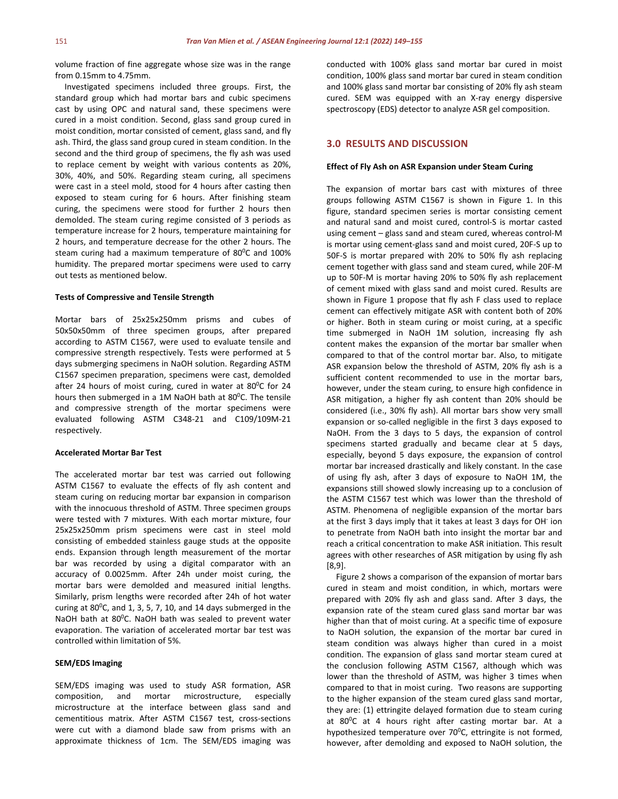volume fraction of fine aggregate whose size was in the range from 0.15mm to 4.75mm.

Investigated specimens included three groups. First, the standard group which had mortar bars and cubic specimens cast by using OPC and natural sand, these specimens were cured in a moist condition. Second, glass sand group cured in moist condition, mortar consisted of cement, glass sand, and fly ash. Third, the glass sand group cured in steam condition. In the second and the third group of specimens, the fly ash was used to replace cement by weight with various contents as 20%, 30%, 40%, and 50%. Regarding steam curing, all specimens were cast in a steel mold, stood for 4 hours after casting then exposed to steam curing for 6 hours. After finishing steam curing, the specimens were stood for further 2 hours then demolded. The steam curing regime consisted of 3 periods as temperature increase for 2 hours, temperature maintaining for 2 hours, and temperature decrease for the other 2 hours. The steam curing had a maximum temperature of  $80^{\circ}$ C and 100% humidity. The prepared mortar specimens were used to carry out tests as mentioned below.

#### **Tests of Compressive and Tensile Strength**

Mortar bars of 25x25x250mm prisms and cubes of 50x50x50mm of three specimen groups, after prepared according to ASTM C1567, were used to evaluate tensile and compressive strength respectively. Tests were performed at 5 days submerging specimens in NaOH solution. Regarding ASTM C1567 specimen preparation, specimens were cast, demolded after 24 hours of moist curing, cured in water at  $80^{\circ}$ C for 24 hours then submerged in a 1M NaOH bath at  $80^{\circ}$ C. The tensile and compressive strength of the mortar specimens were evaluated following ASTM C348-21 and C109/109M-21 respectively.

#### **Accelerated Mortar Bar Test**

The accelerated mortar bar test was carried out following ASTM C1567 to evaluate the effects of fly ash content and steam curing on reducing mortar bar expansion in comparison with the innocuous threshold of ASTM. Three specimen groups were tested with 7 mixtures. With each mortar mixture, four 25x25x250mm prism specimens were cast in steel mold consisting of embedded stainless gauge studs at the opposite ends. Expansion through length measurement of the mortar bar was recorded by using a digital comparator with an accuracy of 0.0025mm. After 24h under moist curing, the mortar bars were demolded and measured initial lengths. Similarly, prism lengths were recorded after 24h of hot water curing at  $80^{\circ}$ C, and 1, 3, 5, 7, 10, and 14 days submerged in the NaOH bath at 80<sup>o</sup>C. NaOH bath was sealed to prevent water evaporation. The variation of accelerated mortar bar test was controlled within limitation of 5%.

#### **SEM/EDS Imaging**

SEM/EDS imaging was used to study ASR formation, ASR composition, and mortar microstructure, especially microstructure at the interface between glass sand and cementitious matrix. After ASTM C1567 test, cross-sections were cut with a diamond blade saw from prisms with an approximate thickness of 1cm. The SEM/EDS imaging was conducted with 100% glass sand mortar bar cured in moist condition, 100% glass sand mortar bar cured in steam condition and 100% glass sand mortar bar consisting of 20% fly ash steam cured. SEM was equipped with an X-ray energy dispersive spectroscopy (EDS) detector to analyze ASR gel composition.

#### **3.0 RESULTS AND DISCUSSION**

#### **Effect of Fly Ash on ASR Expansion under Steam Curing**

The expansion of mortar bars cast with mixtures of three groups following ASTM C1567 is shown in Figure 1. In this figure, standard specimen series is mortar consisting cement and natural sand and moist cured, control-S is mortar casted using cement – glass sand and steam cured, whereas control-M is mortar using cement-glass sand and moist cured, 20F-S up to 50F-S is mortar prepared with 20% to 50% fly ash replacing cement together with glass sand and steam cured, while 20F-M up to 50F-M is mortar having 20% to 50% fly ash replacement of cement mixed with glass sand and moist cured. Results are shown in Figure 1 propose that fly ash F class used to replace cement can effectively mitigate ASR with content both of 20% or higher. Both in steam curing or moist curing, at a specific time submerged in NaOH 1M solution, increasing fly ash content makes the expansion of the mortar bar smaller when compared to that of the control mortar bar. Also, to mitigate ASR expansion below the threshold of ASTM, 20% fly ash is a sufficient content recommended to use in the mortar bars, however, under the steam curing, to ensure high confidence in ASR mitigation, a higher fly ash content than 20% should be considered (i.e., 30% fly ash). All mortar bars show very small expansion or so-called negligible in the first 3 days exposed to NaOH. From the 3 days to 5 days, the expansion of control specimens started gradually and became clear at 5 days, especially, beyond 5 days exposure, the expansion of control mortar bar increased drastically and likely constant. In the case of using fly ash, after 3 days of exposure to NaOH 1M, the expansions still showed slowly increasing up to a conclusion of the ASTM C1567 test which was lower than the threshold of ASTM. Phenomena of negligible expansion of the mortar bars at the first 3 days imply that it takes at least 3 days for OH- ion to penetrate from NaOH bath into insight the mortar bar and reach a critical concentration to make ASR initiation. This result agrees with other researches of ASR mitigation by using fly ash [8,9].

Figure 2 shows a comparison of the expansion of mortar bars cured in steam and moist condition, in which, mortars were prepared with 20% fly ash and glass sand. After 3 days, the expansion rate of the steam cured glass sand mortar bar was higher than that of moist curing. At a specific time of exposure to NaOH solution, the expansion of the mortar bar cured in steam condition was always higher than cured in a moist condition. The expansion of glass sand mortar steam cured at the conclusion following ASTM C1567, although which was lower than the threshold of ASTM, was higher 3 times when compared to that in moist curing. Two reasons are supporting to the higher expansion of the steam cured glass sand mortar, they are: (1) ettringite delayed formation due to steam curing at 80<sup>0</sup>C at 4 hours right after casting mortar bar. At a hypothesized temperature over  $70^{\circ}$ C, ettringite is not formed, however, after demolding and exposed to NaOH solution, the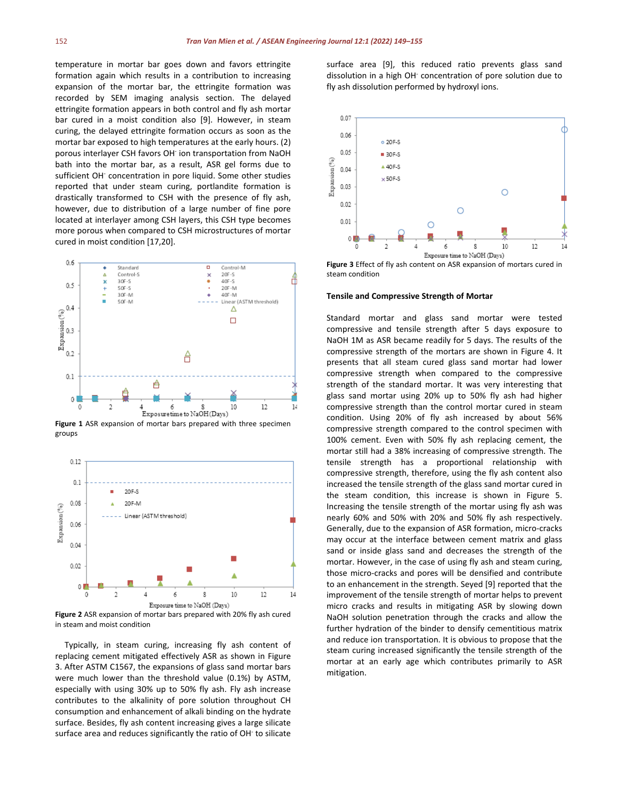temperature in mortar bar goes down and favors ettringite formation again which results in a contribution to increasing expansion of the mortar bar, the ettringite formation was recorded by SEM imaging analysis section. The delayed ettringite formation appears in both control and fly ash mortar bar cured in a moist condition also [9]. However, in steam curing, the delayed ettringite formation occurs as soon as the mortar bar exposed to high temperatures at the early hours. (2) porous interlayer CSH favors OH<sup>-</sup> ion transportation from NaOH bath into the mortar bar, as a result, ASR gel forms due to sufficient OH<sup>-</sup> concentration in pore liquid. Some other studies reported that under steam curing, portlandite formation is drastically transformed to CSH with the presence of fly ash, however, due to distribution of a large number of fine pore located at interlayer among CSH layers, this CSH type becomes more porous when compared to CSH microstructures of mortar cured in moist condition [17,20].



**Figure 1** ASR expansion of mortar bars prepared with three specimen groups



**Figure 2** ASR expansion of mortar bars prepared with 20% fly ash cured in steam and moist condition

Typically, in steam curing, increasing fly ash content of replacing cement mitigated effectively ASR as shown in Figure 3. After ASTM C1567, the expansions of glass sand mortar bars were much lower than the threshold value (0.1%) by ASTM, especially with using 30% up to 50% fly ash. Fly ash increase contributes to the alkalinity of pore solution throughout CH consumption and enhancement of alkali binding on the hydrate surface. Besides, fly ash content increasing gives a large silicate surface area and reduces significantly the ratio of OH<sup>-</sup> to silicate surface area [9], this reduced ratio prevents glass sand dissolution in a high OH- concentration of pore solution due to fly ash dissolution performed by hydroxyl ions.



**Figure 3** Effect of fly ash content on ASR expansion of mortars cured in steam condition

#### **Tensile and Compressive Strength of Mortar**

Standard mortar and glass sand mortar were tested compressive and tensile strength after 5 days exposure to NaOH 1M as ASR became readily for 5 days. The results of the compressive strength of the mortars are shown in Figure 4. It presents that all steam cured glass sand mortar had lower compressive strength when compared to the compressive strength of the standard mortar. It was very interesting that glass sand mortar using 20% up to 50% fly ash had higher compressive strength than the control mortar cured in steam condition. Using 20% of fly ash increased by about 56% compressive strength compared to the control specimen with 100% cement. Even with 50% fly ash replacing cement, the mortar still had a 38% increasing of compressive strength. The tensile strength has a proportional relationship with compressive strength, therefore, using the fly ash content also increased the tensile strength of the glass sand mortar cured in the steam condition, this increase is shown in Figure 5. Increasing the tensile strength of the mortar using fly ash was nearly 60% and 50% with 20% and 50% fly ash respectively. Generally, due to the expansion of ASR formation, micro-cracks may occur at the interface between cement matrix and glass sand or inside glass sand and decreases the strength of the mortar. However, in the case of using fly ash and steam curing, those micro-cracks and pores will be densified and contribute to an enhancement in the strength. Seyed [9] reported that the improvement of the tensile strength of mortar helps to prevent micro cracks and results in mitigating ASR by slowing down NaOH solution penetration through the cracks and allow the further hydration of the binder to densify cementitious matrix and reduce ion transportation. It is obvious to propose that the steam curing increased significantly the tensile strength of the mortar at an early age which contributes primarily to ASR mitigation.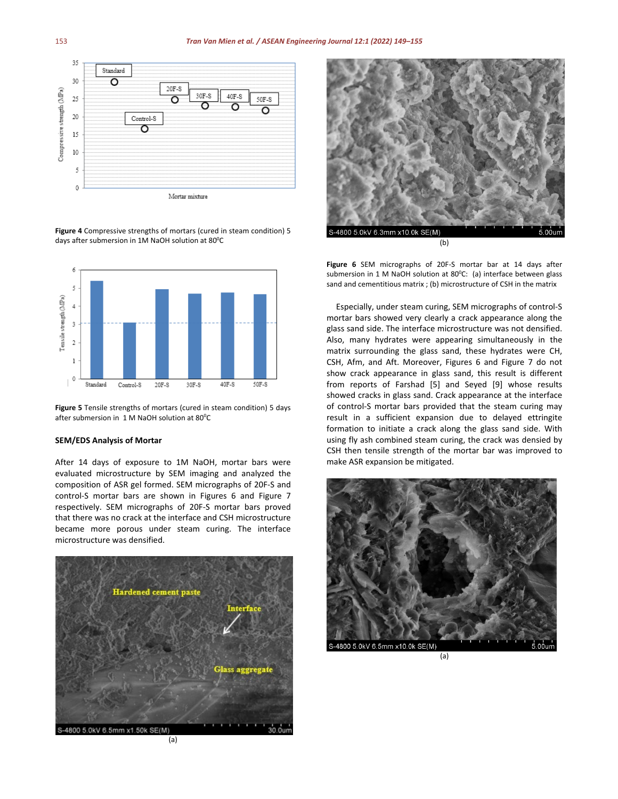

**Figure 4** Compressive strengths of mortars (cured in steam condition) 5 days after submersion in 1M NaOH solution at  $80^{\circ}$ C



**Figure 5** Tensile strengths of mortars (cured in steam condition) 5 days after submersion in  $1 M$  NaOH solution at 80 $^{\circ}$ C

#### **SEM/EDS Analysis of Mortar**

After 14 days of exposure to 1M NaOH, mortar bars were evaluated microstructure by SEM imaging and analyzed the composition of ASR gel formed. SEM micrographs of 20F-S and control-S mortar bars are shown in Figures 6 and Figure 7 respectively. SEM micrographs of 20F-S mortar bars proved that there was no crack at the interface and CSH microstructure became more porous under steam curing. The interface microstructure was densified.





**Figure 6** SEM micrographs of 20F-S mortar bar at 14 days after submersion in 1 M NaOH solution at  $80^{\circ}$ C: (a) interface between glass sand and cementitious matrix ; (b) microstructure of CSH in the matrix

Especially, under steam curing, SEM micrographs of control-S mortar bars showed very clearly a crack appearance along the glass sand side. The interface microstructure was not densified. Also, many hydrates were appearing simultaneously in the matrix surrounding the glass sand, these hydrates were CH, CSH, Afm, and Aft. Moreover, Figures 6 and Figure 7 do not show crack appearance in glass sand, this result is different from reports of Farshad [5] and Seyed [9] whose results showed cracks in glass sand. Crack appearance at the interface of control-S mortar bars provided that the steam curing may result in a sufficient expansion due to delayed ettringite formation to initiate a crack along the glass sand side. With using fly ash combined steam curing, the crack was densied by CSH then tensile strength of the mortar bar was improved to make ASR expansion be mitigated.

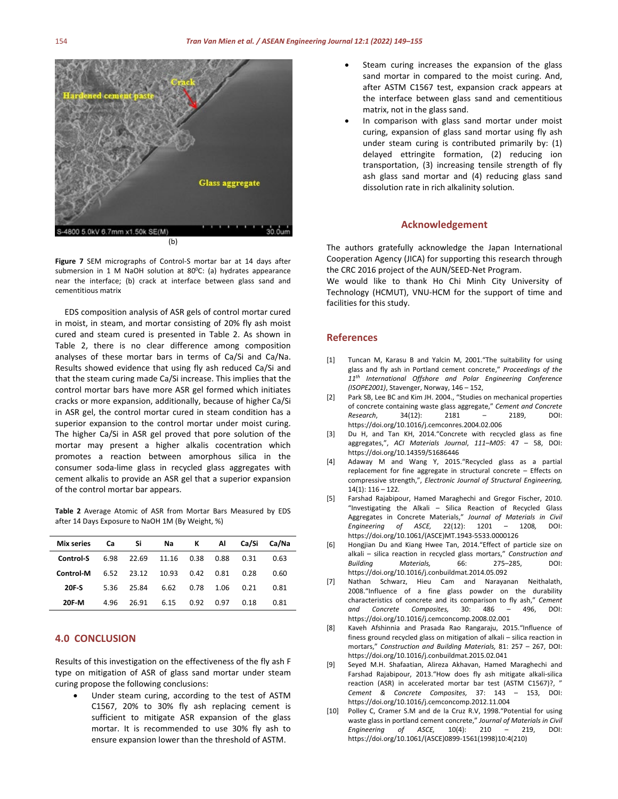



EDS composition analysis of ASR gels of control mortar cured in moist, in steam, and mortar consisting of 20% fly ash moist cured and steam cured is presented in Table 2. As shown in Table 2, there is no clear difference among composition analyses of these mortar bars in terms of Ca/Si and Ca/Na. Results showed evidence that using fly ash reduced Ca/Si and that the steam curing made Ca/Si increase. This implies that the control mortar bars have more ASR gel formed which initiates cracks or more expansion, additionally, because of higher Ca/Si in ASR gel, the control mortar cured in steam condition has a superior expansion to the control mortar under moist curing. The higher Ca/Si in ASR gel proved that pore solution of the mortar may present a higher alkalis cocentration which promotes a reaction between amorphous silica in the consumer soda-lime glass in recycled glass aggregates with cement alkalis to provide an ASR gel that a superior expansion of the control mortar bar appears.

**Table 2** Average Atomic of ASR from Mortar Bars Measured by EDS after 14 Days Exposure to NaOH 1M (By Weight, %)

| Mix series   | Сa   | Si    | Na    | ĸ    | ΑI   | Ca/Si | Ca/Na |
|--------------|------|-------|-------|------|------|-------|-------|
| Control-S    | 6.98 | 22.69 | 11.16 | 0.38 | 0.88 | 0.31  | 0.63  |
| Control-M    | 6.52 | 23.12 | 10.93 | 0.42 | 0.81 | 0.28  | 0.60  |
| 20F-S        | 5.36 | 25.84 | 6.62  | 0.78 | 1.06 | 0.21  | 0.81  |
| <b>20F M</b> | 4.96 | 26.91 | 6.15  | 0.92 | 0.97 | 0.18  | 0.81  |

#### **4.0 CONCLUSION**

Results of this investigation on the effectiveness of the fly ash F type on mitigation of ASR of glass sand mortar under steam curing propose the following conclusions:

Under steam curing, according to the test of ASTM C1567, 20% to 30% fly ash replacing cement is sufficient to mitigate ASR expansion of the glass mortar. It is recommended to use 30% fly ash to ensure expansion lower than the threshold of ASTM.

- Steam curing increases the expansion of the glass sand mortar in compared to the moist curing. And, after ASTM C1567 test, expansion crack appears at the interface between glass sand and cementitious matrix, not in the glass sand.
- In comparison with glass sand mortar under moist curing, expansion of glass sand mortar using fly ash under steam curing is contributed primarily by: (1) delayed ettringite formation, (2) reducing ion transportation, (3) increasing tensile strength of fly ash glass sand mortar and (4) reducing glass sand dissolution rate in rich alkalinity solution.

#### **Acknowledgement**

The authors gratefully acknowledge the Japan International Cooperation Agency (JICA) for supporting this research through the CRC 2016 project of the AUN/SEED-Net Program.

We would like to thank Ho Chi Minh City University of Technology (HCMUT), VNU-HCM for the support of time and facilities for this study.

#### **References**

- [1] Tuncan M, Karasu B and Yalcin M, 2001."The suitability for using glass and fly ash in Portland cement concrete," *Proceedings of the 11th International Offshore and Polar Engineering Conference (ISOPE2001)*, Stavenger, Norway, 146 – 152,
- [2] Park SB, Lee BC and Kim JH. 2004., "Studies on mechanical properties of concrete containing waste glass aggregate," *Cement and Concrete Research*, 34(12): 2181 – 2189, DOI: https://doi.org/10.1016/j.cemconres.2004.02.006
- [3] Du H, and Tan KH, 2014."Concrete with recycled glass as fine aggregates,", *ACI Materials Journal*, *111–M05*: 47 – 58, DOI: https://doi.org/10.14359/51686446
- [4] Adaway M and Wang Y, 2015."Recycled glass as a partial replacement for fine aggregate in structural concrete – Effects on compressive strength,", *Electronic Journal of Structural Engineering,*  14(1): 116 – 122*.*
- [5] Farshad Rajabipour, Hamed Maraghechi and Gregor Fischer, 2010. "Investigating the Alkali – Silica Reaction of Recycled Glass Aggregates in Concrete Materials," *Journal of Materials in Civil Engineering of ASCE,* 22(12): 1201 – 1208*,* DOI: https://doi.org/10.1061/(ASCE)MT.1943-5533.0000126
- [6] Hongjian Du and Kiang Hwee Tan, 2014."Effect of particle size on alkali – silica reaction in recycled glass mortars," *Construction and Building Materials,* 66: 275–285, DOI: https://doi.org/10.1016/j.conbuildmat.2014.05.092
- [7] Nathan Schwarz, Hieu Cam and Narayanan Neithalath, 2008."Influence of a fine glass powder on the durability characteristics of concrete and its comparison to fly ash," *Cement and Concrete Composites,* 30: 486 – 496, DOI: https://doi.org/10.1016/j.cemconcomp.2008.02.001
- [8] Kaveh Afshinnia and Prasada Rao Rangaraju, 2015."Influence of finess ground recycled glass on mitigation of alkali – silica reaction in mortars," *Construction and Building Materials,* 81: 257 – 267, DOI: https://doi.org/10.1016/j.conbuildmat.2015.02.041
- [9] Seyed M.H. Shafaatian, Alireza Akhavan, Hamed Maraghechi and Farshad Rajabipour, 2013."How does fly ash mitigate alkali-silica reaction (ASR) in accelerated mortar bar test (ASTM C1567)?, " *Cement & Concrete Composites,* 37: 143 – 153, DOI: https://doi.org/10.1016/j.cemconcomp.2012.11.004
- [10] Polley C, Cramer S.M and de la Cruz R.V, 1998."Potential for using waste glass in portland cement concrete," *Journal of Materials in Civil Engineering of ASCE,* 10(4): 210 – 219, DOI: https://doi.org/10.1061/(ASCE)0899-1561(1998)10:4(210)